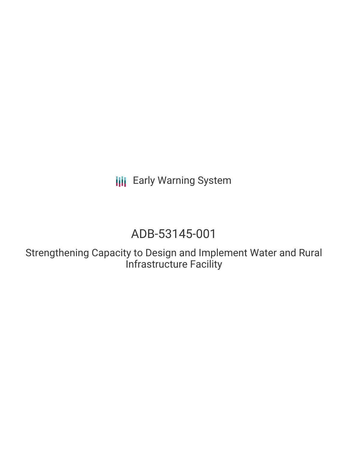**III** Early Warning System

# ADB-53145-001

Strengthening Capacity to Design and Implement Water and Rural Infrastructure Facility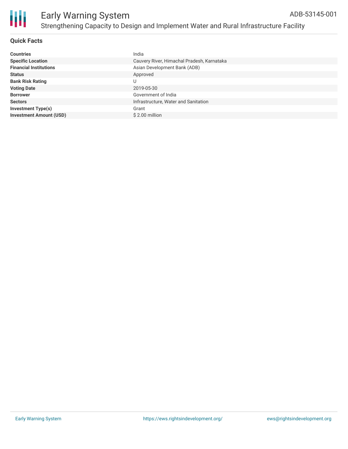

### **Quick Facts**

| <b>Countries</b>               | India                                      |
|--------------------------------|--------------------------------------------|
| <b>Specific Location</b>       | Cauvery River, Himachal Pradesh, Karnataka |
| <b>Financial Institutions</b>  | Asian Development Bank (ADB)               |
| <b>Status</b>                  | Approved                                   |
| <b>Bank Risk Rating</b>        | U                                          |
| <b>Voting Date</b>             | 2019-05-30                                 |
| <b>Borrower</b>                | Government of India                        |
| <b>Sectors</b>                 | Infrastructure, Water and Sanitation       |
| <b>Investment Type(s)</b>      | Grant                                      |
| <b>Investment Amount (USD)</b> | $$2.00$ million                            |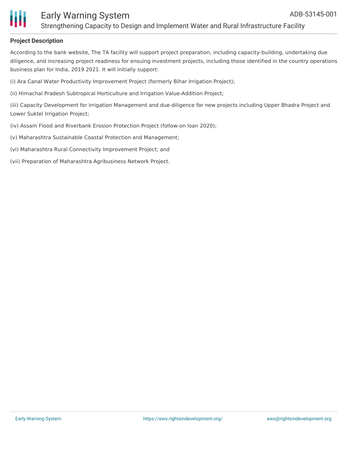

### Early Warning System Strengthening Capacity to Design and Implement Water and Rural Infrastructure Facility

### **Project Description**

According to the bank website, The TA facility will support project preparation, including capacity-building, undertaking due diligence, and increasing project readiness for ensuing investment projects, including those identified in the country operations business plan for India, 2019 2021. It will initially support:

(i) Ara Canal Water Productivity Improvement Project (formerly Bihar Irrigation Project);

(ii) Himachal Pradesh Subtropical Horticulture and Irrigation Value-Addition Project;

(iii) Capacity Development for Irrigation Management and due-diligence for new projects including Upper Bhadra Project and Lower Suktel Irrigation Project;

- (iv) Assam Flood and Riverbank Erosion Protection Project (follow-on loan 2020);
- (v) Maharashtra Sustainable Coastal Protection and Management;
- (vi) Maharashtra Rural Connectivity Improvement Project; and

(vii) Preparation of Maharashtra Agribusiness Network Project.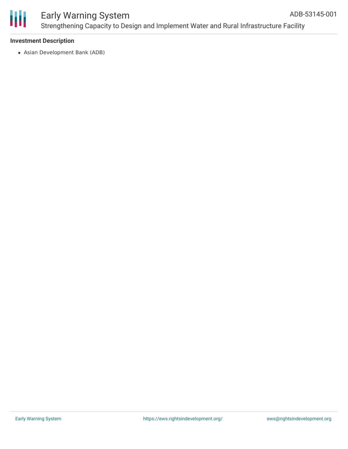

#### Early Warning System Strengthening Capacity to Design and Implement Water and Rural Infrastructure Facility ADB-53145-001

### **Investment Description**

Asian Development Bank (ADB)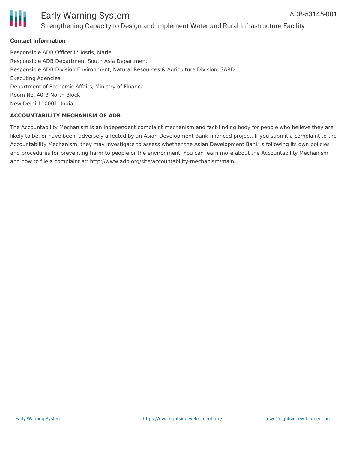

### Early Warning System Strengthening Capacity to Design and Implement Water and Rural Infrastructure Facility

### **Contact Information**

Responsible ADB Officer L'Hostis, Marie Responsible ADB Department South Asia Department Responsible ADB Division Environment, Natural Resources & Agriculture Division, SARD Executing Agencies Department of Economic Affairs, Ministry of Finance Room No. 40-B North Block New Delhi-110001, India

### **ACCOUNTABILITY MECHANISM OF ADB**

The Accountability Mechanism is an independent complaint mechanism and fact-finding body for people who believe they are likely to be, or have been, adversely affected by an Asian Development Bank-financed project. If you submit a complaint to the Accountability Mechanism, they may investigate to assess whether the Asian Development Bank is following its own policies and procedures for preventing harm to people or the environment. You can learn more about the Accountability Mechanism and how to file a complaint at: http://www.adb.org/site/accountability-mechanism/main